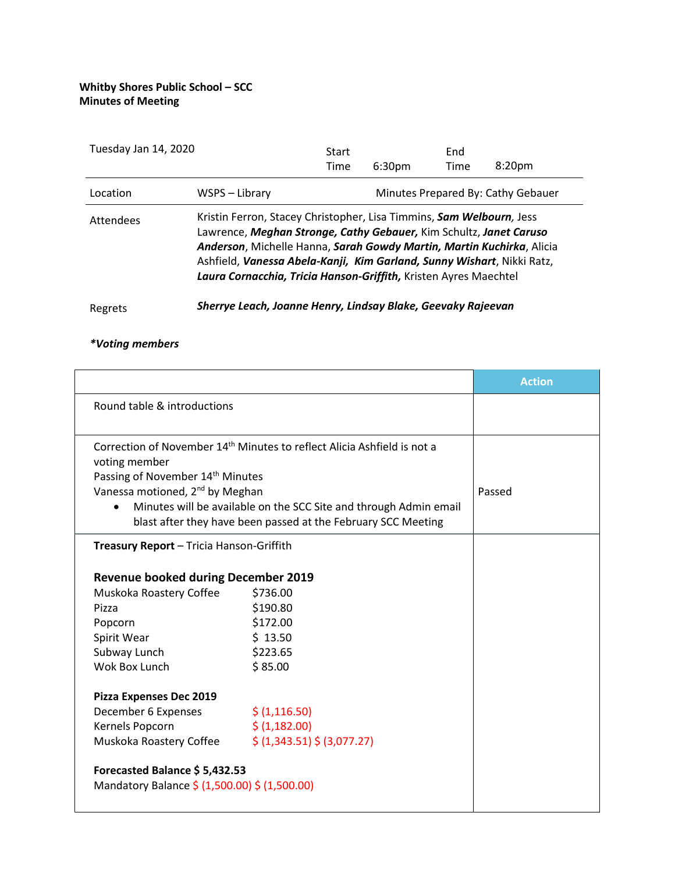| Tuesday Jan 14, 2020 |                                                                                                                                                                                                                                                                                                                                                                   | Start |                    | End  |                                    |
|----------------------|-------------------------------------------------------------------------------------------------------------------------------------------------------------------------------------------------------------------------------------------------------------------------------------------------------------------------------------------------------------------|-------|--------------------|------|------------------------------------|
|                      |                                                                                                                                                                                                                                                                                                                                                                   | Time  | 6:30 <sub>pm</sub> | Time | 8:20 <sub>pm</sub>                 |
| Location             | WSPS – Library                                                                                                                                                                                                                                                                                                                                                    |       |                    |      | Minutes Prepared By: Cathy Gebauer |
| <b>Attendees</b>     | Kristin Ferron, Stacey Christopher, Lisa Timmins, Sam Welbourn, Jess<br>Lawrence, Meghan Stronge, Cathy Gebauer, Kim Schultz, Janet Caruso<br>Anderson, Michelle Hanna, Sarah Gowdy Martin, Martin Kuchirka, Alicia<br>Ashfield, Vanessa Abela-Kanji, Kim Garland, Sunny Wishart, Nikki Ratz,<br>Laura Cornacchia, Tricia Hanson-Griffith, Kristen Ayres Maechtel |       |                    |      |                                    |

Regrets *Sherrye Leach, Joanne Henry, Lindsay Blake, Geevaky Rajeevan* 

## *\*Voting members*

|                                                                                                                                    |                                                                                     | <b>Action</b> |
|------------------------------------------------------------------------------------------------------------------------------------|-------------------------------------------------------------------------------------|---------------|
| Round table & introductions                                                                                                        |                                                                                     |               |
| voting member<br>Passing of November 14 <sup>th</sup> Minutes<br>Vanessa motioned, 2 <sup>nd</sup> by Meghan                       | Correction of November 14 <sup>th</sup> Minutes to reflect Alicia Ashfield is not a | Passed        |
| Minutes will be available on the SCC Site and through Admin email<br>blast after they have been passed at the February SCC Meeting |                                                                                     |               |
| Treasury Report - Tricia Hanson-Griffith                                                                                           |                                                                                     |               |
| <b>Revenue booked during December 2019</b>                                                                                         |                                                                                     |               |
| Muskoka Roastery Coffee                                                                                                            | \$736.00                                                                            |               |
| Pizza                                                                                                                              | \$190.80                                                                            |               |
| Popcorn                                                                                                                            | \$172.00                                                                            |               |
| Spirit Wear                                                                                                                        | \$13.50                                                                             |               |
| Subway Lunch                                                                                                                       | \$223.65                                                                            |               |
| Wok Box Lunch                                                                                                                      | \$85.00                                                                             |               |
| Pizza Expenses Dec 2019                                                                                                            |                                                                                     |               |
| December 6 Expenses                                                                                                                | \$ (1, 116.50)                                                                      |               |
| Kernels Popcorn                                                                                                                    | \$ (1,182.00)                                                                       |               |
| Muskoka Roastery Coffee                                                                                                            | \$ (1,343.51) \$ (3,077.27)                                                         |               |
| Forecasted Balance \$5,432.53<br>Mandatory Balance \$ (1,500.00) \$ (1,500.00)                                                     |                                                                                     |               |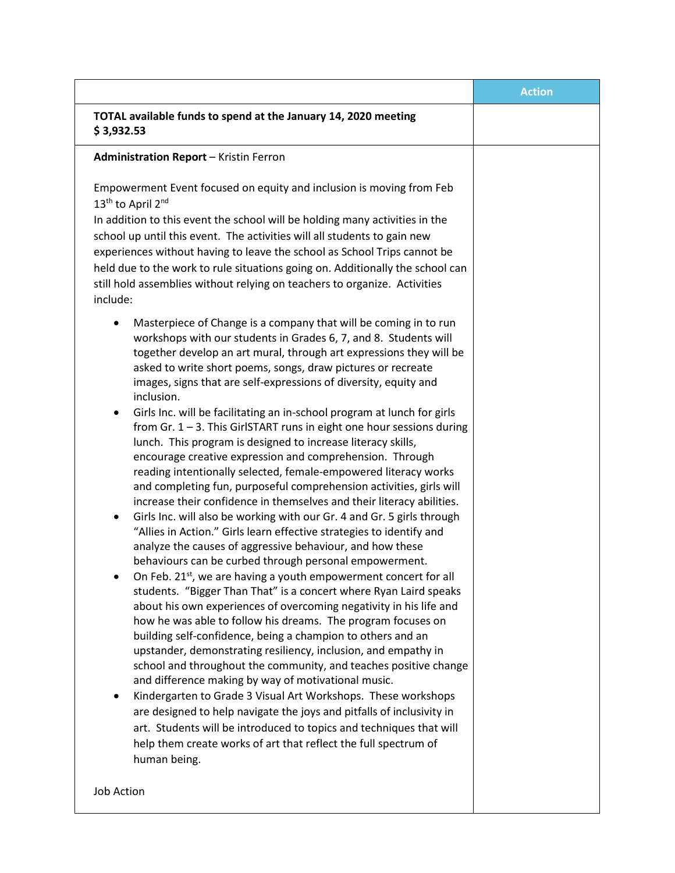|                                                                                                                                                                                                                                                                                                                                                                                                                                                                                                                                                                                                                                                                                                                                                                                                                                                                                                                                                                                                                                                                                                                                                                                                                                                                                                                                                                                                                                                                                                                                                                                                                                                                                                                                                                                                                                                                                                                                                                                                 | <b>Action</b> |
|-------------------------------------------------------------------------------------------------------------------------------------------------------------------------------------------------------------------------------------------------------------------------------------------------------------------------------------------------------------------------------------------------------------------------------------------------------------------------------------------------------------------------------------------------------------------------------------------------------------------------------------------------------------------------------------------------------------------------------------------------------------------------------------------------------------------------------------------------------------------------------------------------------------------------------------------------------------------------------------------------------------------------------------------------------------------------------------------------------------------------------------------------------------------------------------------------------------------------------------------------------------------------------------------------------------------------------------------------------------------------------------------------------------------------------------------------------------------------------------------------------------------------------------------------------------------------------------------------------------------------------------------------------------------------------------------------------------------------------------------------------------------------------------------------------------------------------------------------------------------------------------------------------------------------------------------------------------------------------------------------|---------------|
| TOTAL available funds to spend at the January 14, 2020 meeting<br>\$3,932.53                                                                                                                                                                                                                                                                                                                                                                                                                                                                                                                                                                                                                                                                                                                                                                                                                                                                                                                                                                                                                                                                                                                                                                                                                                                                                                                                                                                                                                                                                                                                                                                                                                                                                                                                                                                                                                                                                                                    |               |
| <b>Administration Report - Kristin Ferron</b>                                                                                                                                                                                                                                                                                                                                                                                                                                                                                                                                                                                                                                                                                                                                                                                                                                                                                                                                                                                                                                                                                                                                                                                                                                                                                                                                                                                                                                                                                                                                                                                                                                                                                                                                                                                                                                                                                                                                                   |               |
| Empowerment Event focused on equity and inclusion is moving from Feb<br>13 <sup>th</sup> to April 2 <sup>nd</sup><br>In addition to this event the school will be holding many activities in the<br>school up until this event. The activities will all students to gain new<br>experiences without having to leave the school as School Trips cannot be<br>held due to the work to rule situations going on. Additionally the school can<br>still hold assemblies without relying on teachers to organize. Activities<br>include:                                                                                                                                                                                                                                                                                                                                                                                                                                                                                                                                                                                                                                                                                                                                                                                                                                                                                                                                                                                                                                                                                                                                                                                                                                                                                                                                                                                                                                                              |               |
| Masterpiece of Change is a company that will be coming in to run<br>workshops with our students in Grades 6, 7, and 8. Students will<br>together develop an art mural, through art expressions they will be<br>asked to write short poems, songs, draw pictures or recreate<br>images, signs that are self-expressions of diversity, equity and<br>inclusion.<br>Girls Inc. will be facilitating an in-school program at lunch for girls<br>from $Gr. 1 - 3$ . This GirlSTART runs in eight one hour sessions during<br>lunch. This program is designed to increase literacy skills,<br>encourage creative expression and comprehension. Through<br>reading intentionally selected, female-empowered literacy works<br>and completing fun, purposeful comprehension activities, girls will<br>increase their confidence in themselves and their literacy abilities.<br>Girls Inc. will also be working with our Gr. 4 and Gr. 5 girls through<br>٠<br>"Allies in Action." Girls learn effective strategies to identify and<br>analyze the causes of aggressive behaviour, and how these<br>behaviours can be curbed through personal empowerment.<br>On Feb. 21st, we are having a youth empowerment concert for all<br>students. "Bigger Than That" is a concert where Ryan Laird speaks<br>about his own experiences of overcoming negativity in his life and<br>how he was able to follow his dreams. The program focuses on<br>building self-confidence, being a champion to others and an<br>upstander, demonstrating resiliency, inclusion, and empathy in<br>school and throughout the community, and teaches positive change<br>and difference making by way of motivational music.<br>Kindergarten to Grade 3 Visual Art Workshops. These workshops<br>are designed to help navigate the joys and pitfalls of inclusivity in<br>art. Students will be introduced to topics and techniques that will<br>help them create works of art that reflect the full spectrum of<br>human being. |               |
| Job Action                                                                                                                                                                                                                                                                                                                                                                                                                                                                                                                                                                                                                                                                                                                                                                                                                                                                                                                                                                                                                                                                                                                                                                                                                                                                                                                                                                                                                                                                                                                                                                                                                                                                                                                                                                                                                                                                                                                                                                                      |               |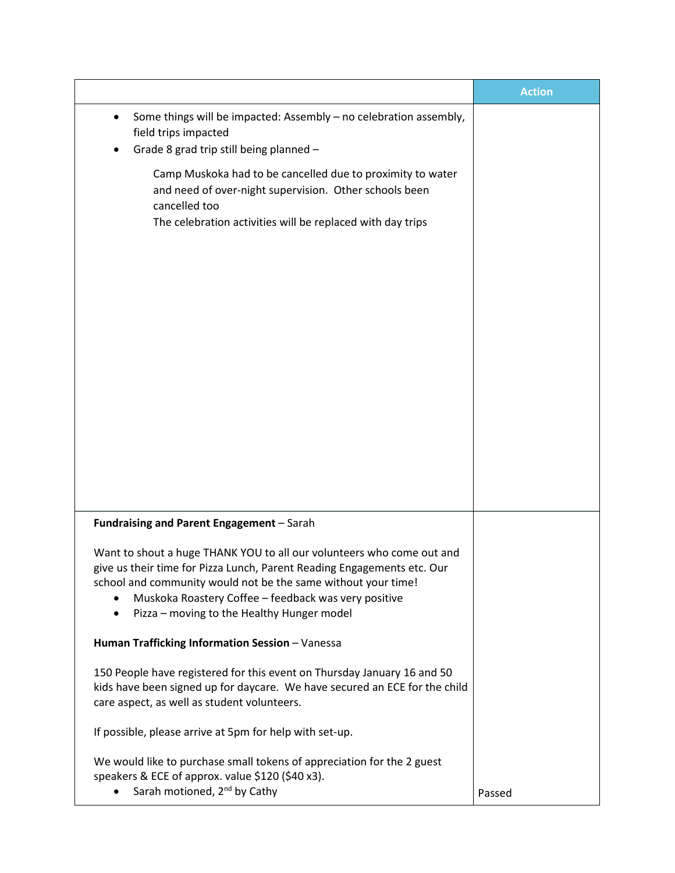|                                                                                                                                                                                                                                                                                                                              | <b>Action</b> |
|------------------------------------------------------------------------------------------------------------------------------------------------------------------------------------------------------------------------------------------------------------------------------------------------------------------------------|---------------|
| Some things will be impacted: Assembly - no celebration assembly,<br>field trips impacted<br>Grade 8 grad trip still being planned -                                                                                                                                                                                         |               |
| Camp Muskoka had to be cancelled due to proximity to water<br>and need of over-night supervision. Other schools been<br>cancelled too<br>The celebration activities will be replaced with day trips                                                                                                                          |               |
| Fundraising and Parent Engagement - Sarah                                                                                                                                                                                                                                                                                    |               |
| Want to shout a huge THANK YOU to all our volunteers who come out and<br>give us their time for Pizza Lunch, Parent Reading Engagements etc. Our<br>school and community would not be the same without your time!<br>Muskoka Roastery Coffee - feedback was very positive<br>Pizza - moving to the Healthy Hunger model<br>٠ |               |
| Human Trafficking Information Session - Vanessa                                                                                                                                                                                                                                                                              |               |
| 150 People have registered for this event on Thursday January 16 and 50<br>kids have been signed up for daycare. We have secured an ECE for the child<br>care aspect, as well as student volunteers.                                                                                                                         |               |
| If possible, please arrive at 5pm for help with set-up.                                                                                                                                                                                                                                                                      |               |
| We would like to purchase small tokens of appreciation for the 2 guest<br>speakers & ECE of approx. value \$120 (\$40 x3).<br>Sarah motioned, 2 <sup>nd</sup> by Cathy                                                                                                                                                       | Passed        |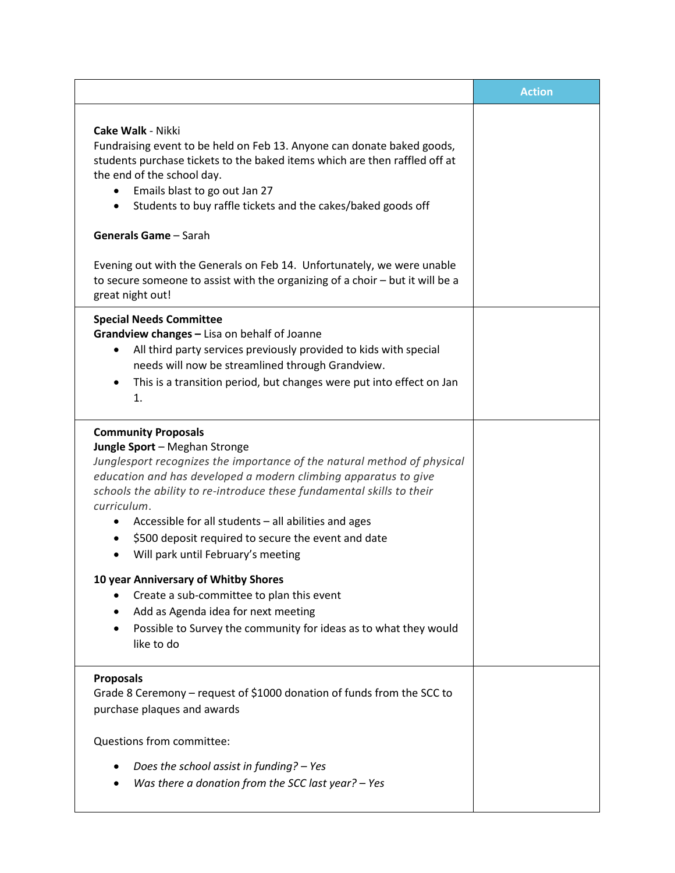|                                                                                                                                                                                                                                                                                                                                                                                                                                                                                                                                                                                                                                                                      | <b>Action</b> |
|----------------------------------------------------------------------------------------------------------------------------------------------------------------------------------------------------------------------------------------------------------------------------------------------------------------------------------------------------------------------------------------------------------------------------------------------------------------------------------------------------------------------------------------------------------------------------------------------------------------------------------------------------------------------|---------------|
| <b>Cake Walk - Nikki</b><br>Fundraising event to be held on Feb 13. Anyone can donate baked goods,<br>students purchase tickets to the baked items which are then raffled off at<br>the end of the school day.<br>Emails blast to go out Jan 27<br>٠<br>Students to buy raffle tickets and the cakes/baked goods off<br>٠<br><b>Generals Game</b> - Sarah<br>Evening out with the Generals on Feb 14. Unfortunately, we were unable<br>to secure someone to assist with the organizing of a choir - but it will be a<br>great night out!                                                                                                                             |               |
| <b>Special Needs Committee</b><br>Grandview changes - Lisa on behalf of Joanne<br>All third party services previously provided to kids with special<br>٠<br>needs will now be streamlined through Grandview.<br>This is a transition period, but changes were put into effect on Jan<br>$\bullet$<br>1.                                                                                                                                                                                                                                                                                                                                                              |               |
| <b>Community Proposals</b><br>Jungle Sport - Meghan Stronge<br>Junglesport recognizes the importance of the natural method of physical<br>education and has developed a modern climbing apparatus to give<br>schools the ability to re-introduce these fundamental skills to their<br>curriculum.<br>Accessible for all students - all abilities and ages<br>\$500 deposit required to secure the event and date<br>Will park until February's meeting<br>10 year Anniversary of Whitby Shores<br>Create a sub-committee to plan this event<br>Add as Agenda idea for next meeting<br>Possible to Survey the community for ideas as to what they would<br>like to do |               |
| <b>Proposals</b><br>Grade 8 Ceremony - request of \$1000 donation of funds from the SCC to<br>purchase plaques and awards<br>Questions from committee:                                                                                                                                                                                                                                                                                                                                                                                                                                                                                                               |               |
| Does the school assist in funding? - Yes<br>Was there a donation from the SCC last year? - Yes                                                                                                                                                                                                                                                                                                                                                                                                                                                                                                                                                                       |               |